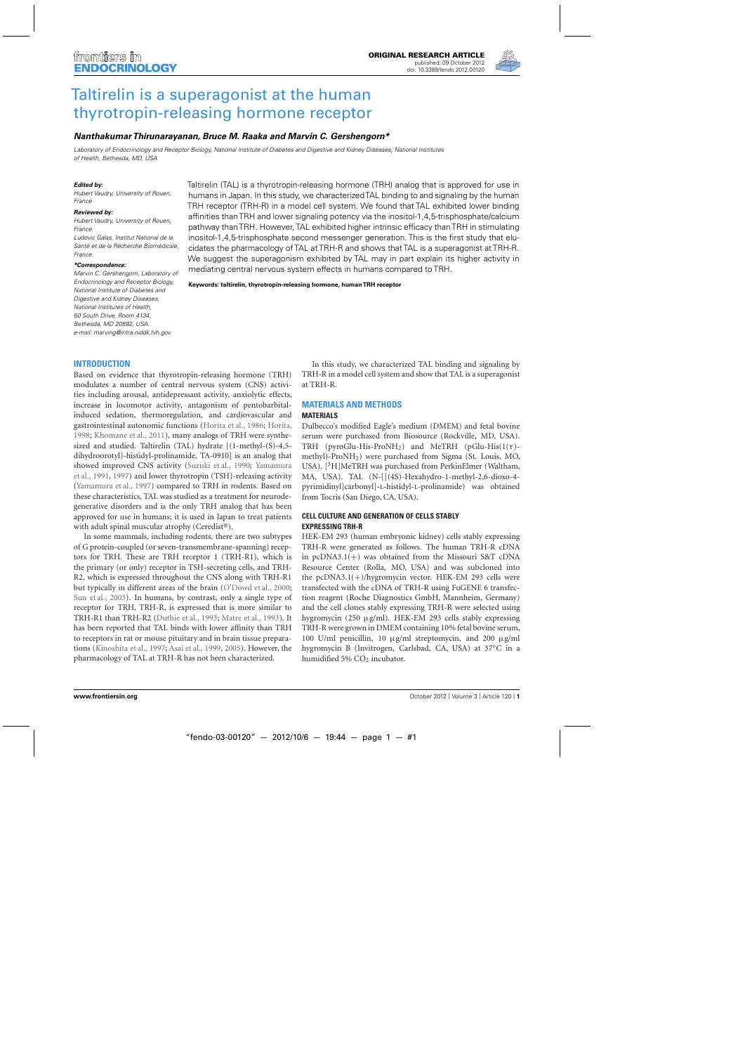

# [Taltirelin is a superagonist at the human](http://www.frontiersin.org/Neuroendocrine_Science/10.3389/fendo.2012.00120/abstract) thyrotropin-releasing hormone receptor

## *[Nanthakumar Thirunarayanan,](http://www.frontiersin.org/Community/WhosWhoActivity.aspx?sname=NanthakumarThirunarayanan&UID=65499) [Bruce M. Raaka](http://community.frontiersin.org/people/BruceRaaka_1/68061) and [Marvin C. Gershengorn\\*](http://www.frontiersin.org/Community/WhosWhoActivity.aspx?sname=MarvinGershengorn&UID=59142)*

Laboratory of Endocrinology and Receptor Biology, National Institute of Diabetes and Digestive and Kidney Diseases, National Institutes of Health, Bethesda, MD, USA

#### *Edited by:*

Hubert Vaudry, University of Rouen, France

#### *Reviewed by:*

Hubert Vaudry, University of Rouen, France

Ludovic Galas, Institut National de la Santé et de la Recherche Biomédicale, France

#### *\*Correspondence:*

Marvin C. Gershengorn, Laboratory of Endocrinology and Receptor Biology, National Institute of Diabetes and Digestive and Kidney Diseases, National Institutes of Health, 50 South Drive, Room 4134, Bethesda, MD 20892, USA. e-mail: [marving@intra.niddk.hih.gov](mailto:marving@intra.niddk.hih.gov)

Taltirelin (TAL) is a thyrotropin-releasing hormone (TRH) analog that is approved for use in humans in Japan. In this study, we characterizedTAL binding to and signaling by the human TRH receptor (TRH-R) in a model cell system. We found that TAL exhibited lower binding affinities than TRH and lower signaling potency via the inositol-1,4,5-trisphosphate/calcium pathway than TRH. However, TAL exhibited higher intrinsic efficacy than TRH in stimulating inositol-1,4,5-trisphosphate second messenger generation. This is the first study that elucidates the pharmacology of TAL at TRH-R and shows that TAL is a superagonist at TRH-R. We suggest the superagonism exhibited by TAL may in part explain its higher activity in mediating central nervous system effects in humans compared to TRH.

**Keywords: taltirelin, thyrotropin-releasing hormone, human TRH receptor**

## **INTRODUCTION**

Based on evidence that thyrotropin-releasing hormone (TRH) modulates a number of central nervous system (CNS) activities including arousal, antidepressant activity, anxiolytic effects, increase in locomotor activity, antagonism of pentobarbitalinduced sedation, thermoregulation, and cardiovascular and gastrointestinal autonomic functions [\(Horita et al.](#page-3-0), [1986;](#page-3-0) [Horita](#page-3-0), [1998;](#page-3-0) [Khomane et al., 2011\)](#page-3-0), many analogs of TRH were synthesized and studied. Taltirelin (TAL) hydrate [(1-methyl-(S)-4,5 dihydroorotyl)-histidyl-prolinamide, TA-0910] is an analog that sho[wed improved CNS activity \(Suzuki et al., 1990;](#page-3-0) Yamamura et al., [1991](#page-3-0), [1997\)](#page-3-0) and lower thyrotropin (TSH)-releasing activity [\(Yamamura et al., 1997\)](#page-3-0) compared to TRH in rodents. Based on these characteristics, TAL was studied as a treatment for neurodegenerative disorders and is the only TRH analog that has been approved for use in humans; it is used in Japan to treat patients with adult spinal muscular atrophy (Ceredist®).

In some mammals, including rodents, there are two subtypes of G protein-coupled (or seven-transmembrane-spanning) receptors for TRH. These are TRH receptor 1 (TRH-R1), which is the primary (or only) receptor in TSH-secreting cells, and TRH-R2, which is expressed throughout the CNS along with TRH-R1 but typically in different areas of the brain [\(O'Dowd et al.](#page-3-0), [2000;](#page-3-0) [Sun et al., 2003](#page-3-0)). In humans, by contrast, only a single type of receptor for TRH, TRH-R, is expressed that is more similar to TRH-R1 than TRH-R2 [\(Duthie et al.](#page-3-0), [1993;](#page-3-0) [Matre et al.](#page-3-0), [1993\)](#page-3-0). It has been reported that TAL binds with lower affinity than TRH to receptors in rat or mouse pituitary and in brain tissue preparations [\(Kinoshita et al.](#page-3-0), [1997](#page-3-0); [Asai et al.](#page-3-0), [1999,](#page-3-0) [2005](#page-3-0)). However, the pharmacology of TAL at TRH-R has not been characterized.

In this study, we characterized TAL binding and signaling by TRH-R in a model cell system and show that TAL is a superagonist at TRH-R.

#### **MATERIALS AND METHODS MATERIALS**

Dulbecco's modified Eagle's medium (DMEM) and fetal bovine serum were purchased from Biosource (Rockville, MD, USA). TRH (pyroGlu-His-ProNH<sub>2</sub>) and MeTRH (pGlu-His( $1(\tau)$ methyl)-ProNH2) were purchased from Sigma (St. Louis, MO, USA).  $[{}^{3}H]$ MeTRH was purchased from PerkinElmer (Waltham, MA, USA). TAL (N-[[(4S)-Hexahydro-1-methyl-2,6-dioxo-4 pyrimidinyl]carbonyl]-L-histidyl-L-prolinamide) was obtained from Tocris (San Diego, CA, USA).

## **CELL CULTURE AND GENERATION OF CELLS STABLY EXPRESSING TRH-R**

HEK-EM 293 (human embryonic kidney) cells stably expressing TRH-R were generated as follows. The human TRH-R cDNA in  $pcDNA3.1(+)$  was obtained from the Missouri S&T cDNA Resource Center (Rolla, MO, USA) and was subcloned into the pcDNA3.1(+)/hygromycin vector. HEK-EM 293 cells were transfected with the cDNA of TRH-R using FuGENE 6 transfection reagent (Roche Diagnostics GmbH, Mannheim, Germany) and the cell clones stably expressing TRH-R were selected using hygromycin (250 μg/ml). HEK-EM 293 cells stably expressing TRH-R were grown in DMEM containing 10% fetal bovine serum, 100 U/ml penicillin, 10 μg/ml streptomycin, and 200 μg/ml hygromycin B (Invitrogen, Carlsbad, CA, USA) at 37◦C in a humidified 5% CO<sub>2</sub> incubator.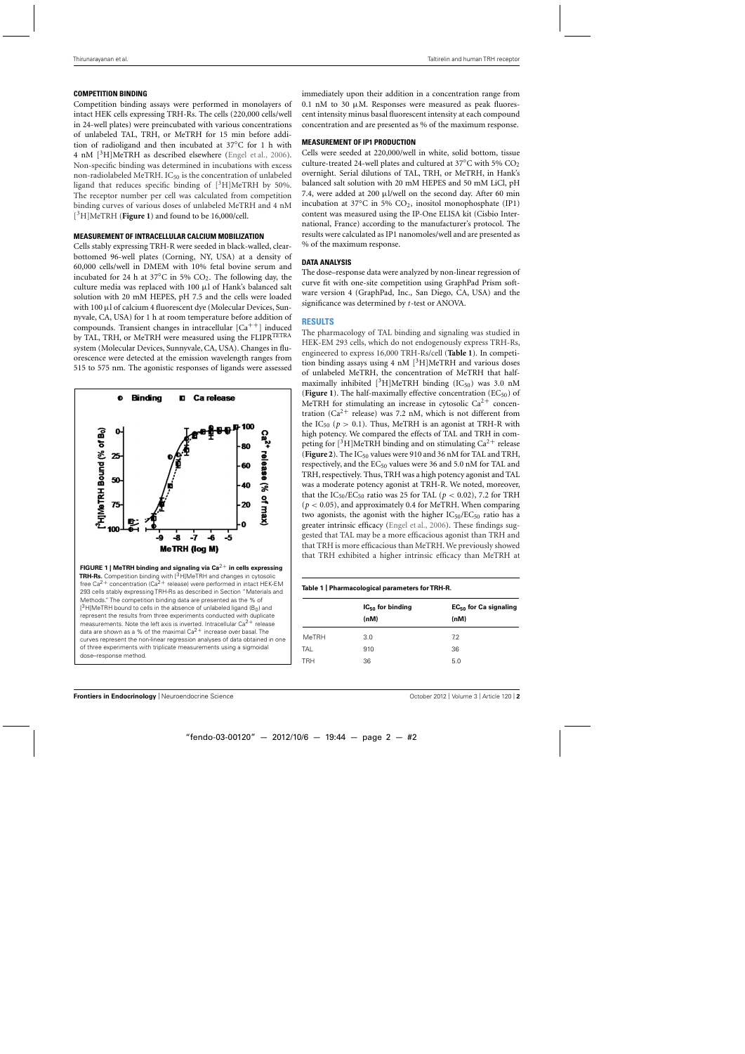## **COMPETITION BINDING**

Competition binding assays were performed in monolayers of intact HEK cells expressing TRH-Rs. The cells (220,000 cells/well in 24-well plates) were preincubated with various concentrations of unlabeled TAL, TRH, or MeTRH for 15 min before addition of radioligand and then incubated at 37◦C for 1 h with 4 nM  $[3H]$ MeTRH as described elsewhere [\(Engel et al.](#page-3-0), [2006](#page-3-0)). Non-specific binding was determined in incubations with excess non-radiolabeled MeTRH.  $IC_{50}$  is the concentration of unlabeled ligand that reduces specific binding of  $[3H]$ MeTRH by 50%. The receptor number per cell was calculated from competition binding curves of various doses of unlabeled MeTRH and 4 nM [3H]MeTRH (**Figure 1**) and found to be 16,000/cell.

## **MEASUREMENT OF INTRACELLULAR CALCIUM MOBILIZATION**

Cells stably expressing TRH-R were seeded in black-walled, clearbottomed 96-well plates (Corning, NY, USA) at a density of 60,000 cells/well in DMEM with 10% fetal bovine serum and incubated for 24 h at 37 $\degree$ C in 5% CO<sub>2</sub>. The following day, the culture media was replaced with 100 μl of Hank's balanced salt solution with 20 mM HEPES, pH 7.5 and the cells were loaded with 100 μl of calcium 4 fluorescent dye (Molecular Devices, Sunnyvale, CA, USA) for 1 h at room temperature before addition of compounds. Transient changes in intracellular  $[Ca^{++}]$  induced by TAL, TRH, or MeTRH were measured using the FLIPR<sup>TETRA</sup> system (Molecular Devices, Sunnyvale, CA, USA). Changes in fluorescence were detected at the emission wavelength ranges from 515 to 575 nm. The agonistic responses of ligands were assessed



immediately upon their addition in a concentration range from 0.1 nM to 30  $\mu$ M. Responses were measured as peak fluorescent intensity minus basal fluorescent intensity at each compound concentration and are presented as % of the maximum response.

## **MEASUREMENT OF IP1 PRODUCTION**

Cells were seeded at 220,000/well in white, solid bottom, tissue culture-treated 24-well plates and cultured at 37°C with 5%  $CO<sub>2</sub>$ overnight. Serial dilutions of TAL, TRH, or MeTRH, in Hank's balanced salt solution with 20 mM HEPES and 50 mM LiCl, pH 7.4, were added at 200 μl/well on the second day. After 60 min incubation at 37◦C in 5% CO2, inositol monophosphate (IP1) content was measured using the IP-One ELISA kit (Cisbio International, France) according to the manufacturer's protocol. The results were calculated as IP1 nanomoles/well and are presented as % of the maximum response.

## **DATA ANALYSIS**

The dose–response data were analyzed by non-linear regression of curve fit with one-site competition using GraphPad Prism software version 4 (GraphPad, Inc., San Diego, CA, USA) and the significance was determined by *t*-test or ANOVA.

## **RESULTS**

The pharmacology of TAL binding and signaling was studied in HEK-EM 293 cells, which do not endogenously express TRH-Rs, engineered to express 16,000 TRH-Rs/cell (**Table 1**). In competition binding assays using 4 nM  $\left[$ <sup>3</sup>H $\right]$ MeTRH and various doses of unlabeled MeTRH, the concentration of MeTRH that halfmaximally inhibited  $[{}^3H]$ MeTRH binding (IC<sub>50</sub>) was 3.0 nM (**Figure 1**). The half-maximally effective concentration ( $EC_{50}$ ) of MeTRH for stimulating an increase in cytosolic  $Ca^{2+}$  concentration ( $Ca^{2+}$  release) was 7.2 nM, which is not different from the IC<sub>50</sub> ( $p > 0.1$ ). Thus, MeTRH is an agonist at TRH-R with high potency. We compared the effects of TAL and TRH in competing for  $[{}^{3}H]$ MeTRH binding and on stimulating Ca<sup>2+</sup> release (**[Figure 2](#page-2-0)**). The IC<sub>50</sub> values were 910 and 36 nM for TAL and TRH, respectively, and the EC<sub>50</sub> values were 36 and 5.0 nM for TAL and TRH, respectively. Thus, TRH was a high potency agonist and TAL was a moderate potency agonist at TRH-R. We noted, moreover, that the  $IC_{50}/EC_{50}$  ratio was 25 for TAL ( $p < 0.02$ ), 7.2 for TRH (*p* < 0.05), and approximately 0.4 for MeTRH. When comparing two agonists, the agonist with the higher  $IC_{50}/EC_{50}$  ratio has a greater intrinsic efficacy [\(Engel et al.](#page-3-0), [2006](#page-3-0)). These findings suggested that TAL may be a more efficacious agonist than TRH and that TRH is more efficacious than MeTRH. We previously showed that TRH exhibited a higher intrinsic efficacy than MeTRH at

#### **Table 1 | Pharmacological parameters for TRH-R.**

| $IC_{50}$ for binding | EC <sub>50</sub> for Ca signaling |
|-----------------------|-----------------------------------|
| (nM)                  | (nM)                              |
| 3.0                   | 7.2                               |
| 910                   | 36                                |
| 36                    | 5.0                               |
|                       |                                   |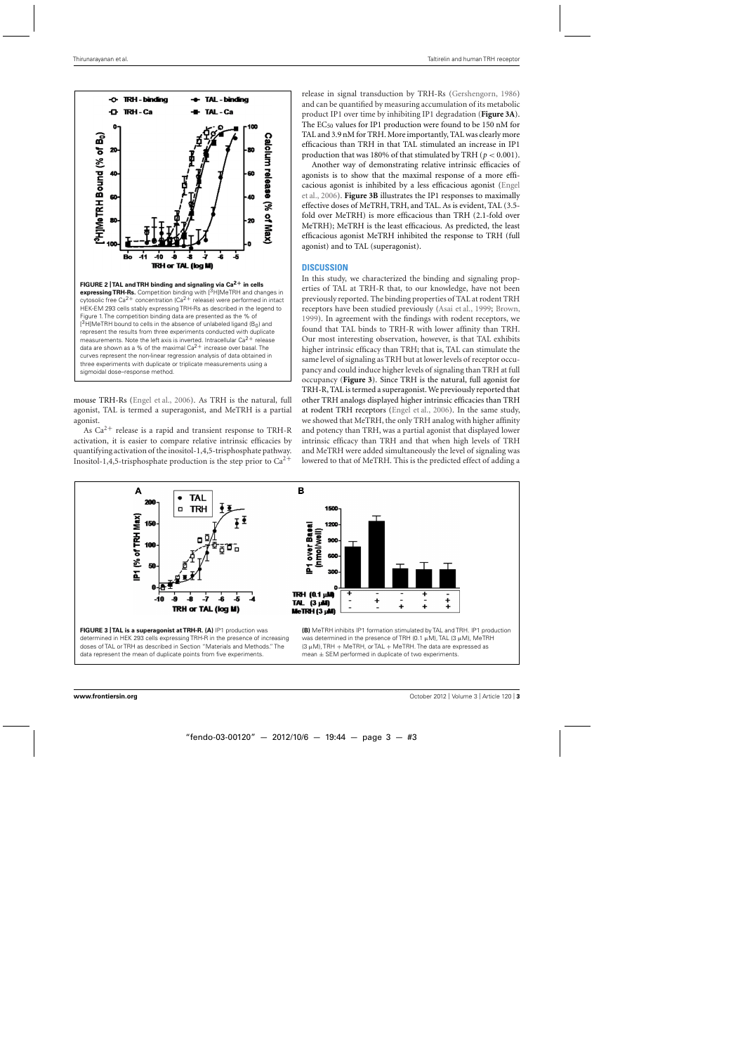<span id="page-2-0"></span>

mouse TRH-Rs [\(Engel et al., 2006](#page-3-0)). As TRH is the natural, full agonist, TAL is termed a superagonist, and MeTRH is a partial agonist.

As  $Ca^{2+}$  release is a rapid and transient response to TRH-R activation, it is easier to compare relative intrinsic efficacies by quantifying activation of the inositol-1,4,5-trisphosphate pathway. Inositol-1,4,5-trisphosphate production is the step prior to  $Ca^{2+}$ 

release in signal transduction by TRH-Rs [\(Gershengorn, 1986\)](#page-3-0) and can be quantified by measuring accumulation of its metabolic product IP1 over time by inhibiting IP1 degradation (**Figure 3A**). The EC<sub>50</sub> values for IP1 production were found to be 150 nM for TAL and 3.9 nM for TRH. More importantly, TAL was clearly more efficacious than TRH in that TAL stimulated an increase in IP1 production that was 180% of that stimulated by TRH ( $p < 0.001$ ).

Another way of demonstrating relative intrinsic efficacies of agonists is to show that the maximal response of a more efficaci[ous agonist is inhibited by a less efficacious agonist \(](#page-3-0)Engel et al., [2006](#page-3-0)). **Figure 3B** illustrates the IP1 responses to maximally effective doses of MeTRH, TRH, and TAL. As is evident, TAL (3.5 fold over MeTRH) is more efficacious than TRH (2.1-fold over MeTRH); MeTRH is the least efficacious. As predicted, the least efficacious agonist MeTRH inhibited the response to TRH (full agonist) and to TAL (superagonist).

#### **DISCUSSION**

In this study, we characterized the binding and signaling properties of TAL at TRH-R that, to our knowledge, have not been previously reported. The binding properties of TAL at rodent TRH receptors have been studied previously [\(Asai et al.](#page-3-0), [1999](#page-3-0); [Brown](#page-3-0), [1999\)](#page-3-0). In agreement with the findings with rodent receptors, we found that TAL binds to TRH-R with lower affinity than TRH. Our most interesting observation, however, is that TAL exhibits higher intrinsic efficacy than TRH; that is, TAL can stimulate the same level of signaling as TRH but at lower levels of receptor occupancy and could induce higher levels of signaling than TRH at full occupancy (**Figure 3**). Since TRH is the natural, full agonist for TRH-R, TAL is termed a superagonist. We previously reported that other TRH analogs displayed higher intrinsic efficacies than TRH at rodent TRH receptors [\(Engel et al., 2006\)](#page-3-0). In the same study, we showed that MeTRH, the only TRH analog with higher affinity and potency than TRH, was a partial agonist that displayed lower intrinsic efficacy than TRH and that when high levels of TRH and MeTRH were added simultaneously the level of signaling was lowered to that of MeTRH. This is the predicted effect of adding a





**(B)** MeTRH inhibits IP1 formation stimulated by TAL and TRH. IP1 production was determined in the presence of TRH (0.1  $\mu$ M), TAL (3  $\mu$ M), MeTRH (3  $\mu$ M), TRH + MeTRH, or TAL + MeTRH. The data are expressed as mean  $\pm$  SEM performed in duplicate of two experiments.